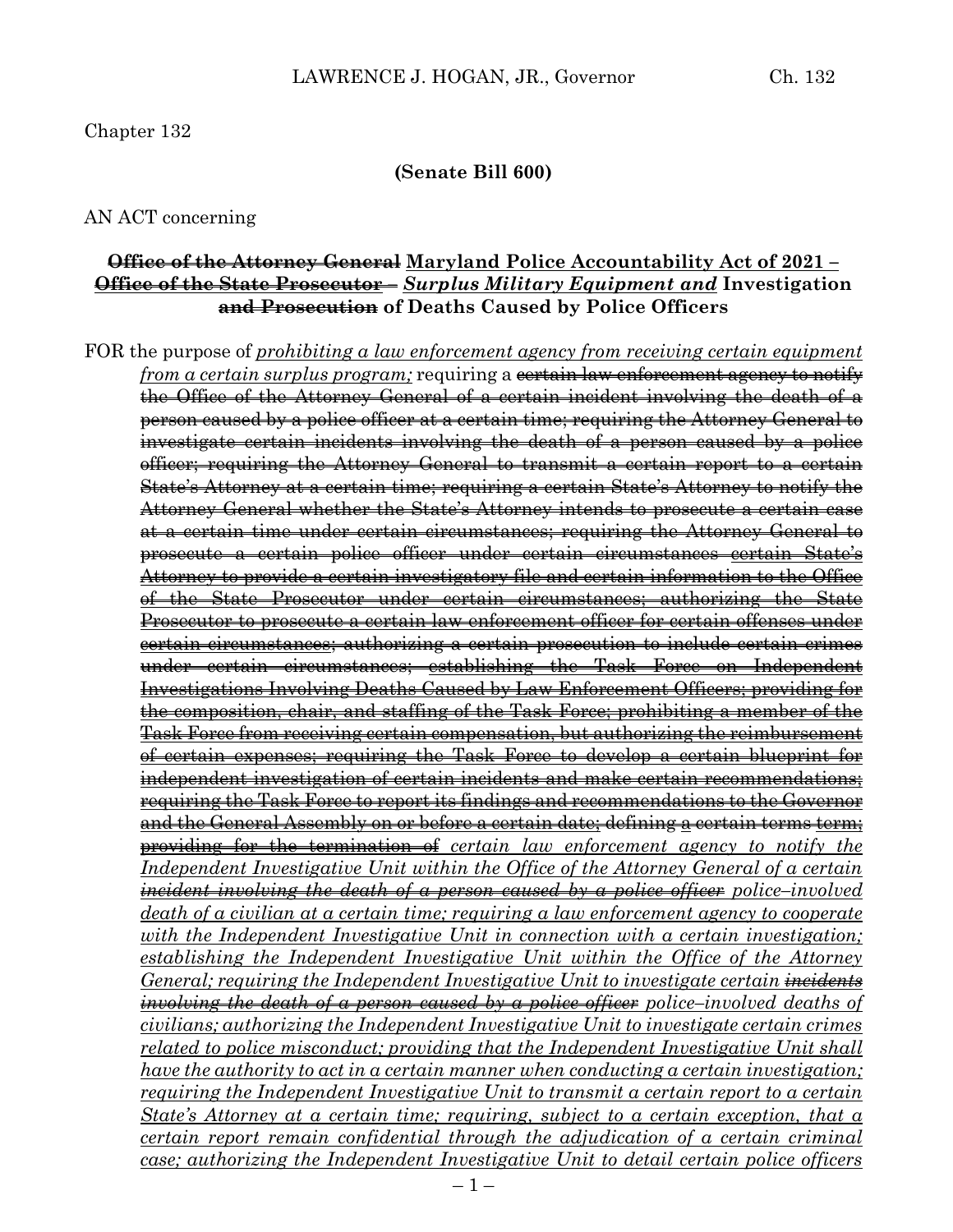#### **(Senate Bill 600)**

#### AN ACT concerning

## **Office of the Attorney General Maryland Police Accountability Act of 2021 – Office of the State Prosecutor –** *Surplus Military Equipment and* **Investigation and Prosecution of Deaths Caused by Police Officers**

FOR the purpose of *prohibiting a law enforcement agency from receiving certain equipment from a certain surplus program;* requiring a <del>certain law enforcement agency to notify</del> the Office of the Attorney General of a certain incident involving the death of a person caused by a police officer at a certain time; requiring the Attorney General to investigate certain incidents involving the death of a person caused by a police officer; requiring the Attorney General to transmit a certain report to a certain State's Attorney at a certain time; requiring a certain State's Attorney to notify the Attorney General whether the State's Attorney intends to prosecute a certain case at a certain time under certain circumstances; requiring the Attorney General to prosecute a certain police officer under certain circumstances certain State's Attorney to provide a certain investigatory file and certain information to the Office of the State Prosecutor under certain circumstances; authorizing the State Prosecutor to prosecute a certain law enforcement officer for certain offenses under certain circumstances; authorizing a certain prosecution to include certain crimes under certain circumstances; establishing the Task Force on Independent Investigations Involving Deaths Caused by Law Enforcement Officers; providing for the composition, chair, and staffing of the Task Force; prohibiting a member of the Task Force from receiving certain compensation, but authorizing the reimbursement of certain expenses; requiring the Task Force to develop a certain blueprint for independent investigation of certain incidents and make certain recommendations; requiring the Task Force to report its findings and recommendations to the Governor and the General Assembly on or before a certain date; defining a certain terms term; providing for the termination of *certain law enforcement agency to notify the Independent Investigative Unit within the Office of the Attorney General of a certain incident involving the death of a person caused by a police officer police–involved death of a civilian at a certain time; requiring a law enforcement agency to cooperate with the Independent Investigative Unit in connection with a certain investigation; establishing the Independent Investigative Unit within the Office of the Attorney General; requiring the Independent Investigative Unit to investigate certain incidents involving the death of a person caused by a police officer police–involved deaths of civilians; authorizing the Independent Investigative Unit to investigate certain crimes related to police misconduct; providing that the Independent Investigative Unit shall have the authority to act in a certain manner when conducting a certain investigation; requiring the Independent Investigative Unit to transmit a certain report to a certain State's Attorney at a certain time; requiring, subject to a certain exception, that a certain report remain confidential through the adjudication of a certain criminal case; authorizing the Independent Investigative Unit to detail certain police officers*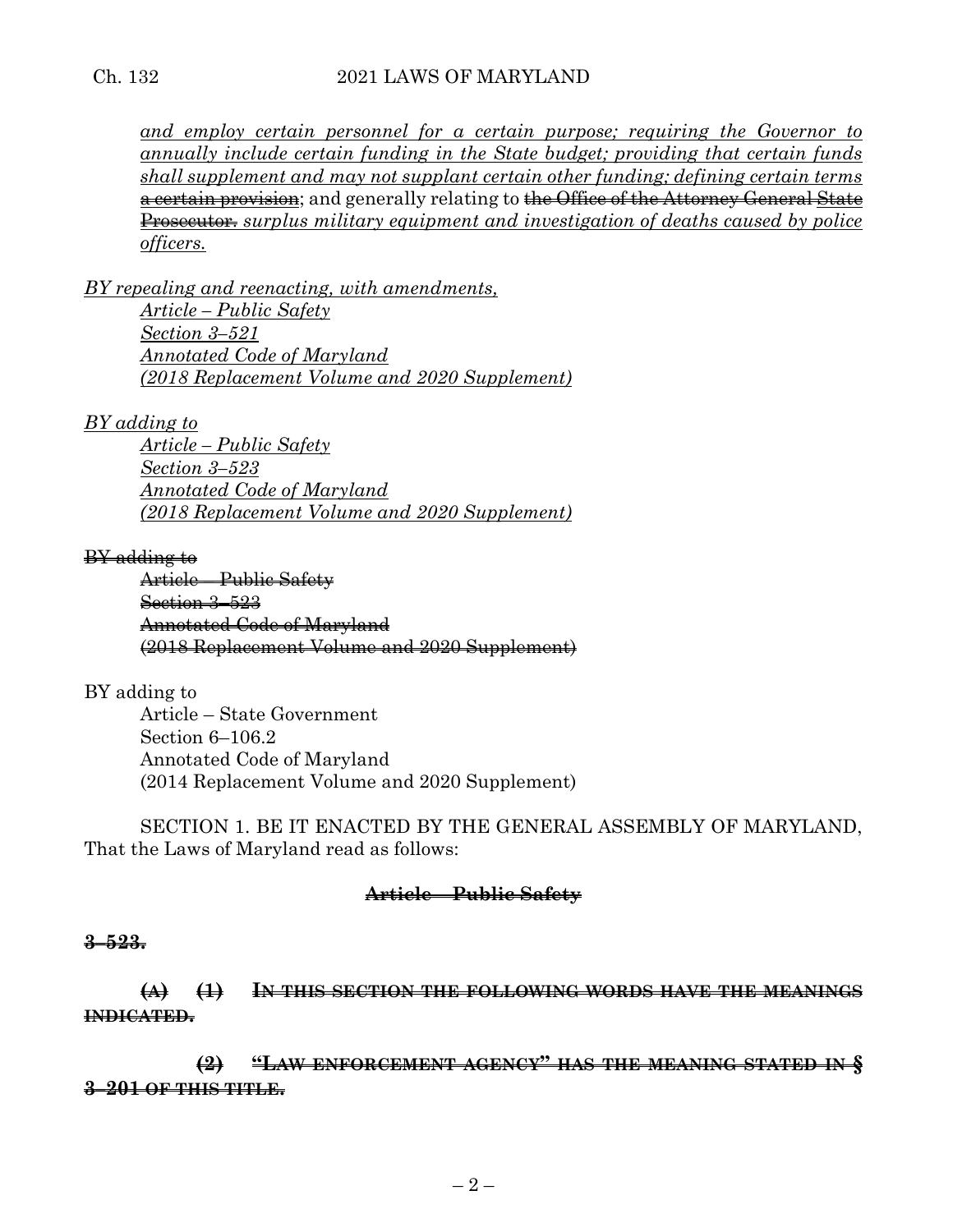and employ certain personnel for a certain purpose; requiring the Governor to *annually include certain funding in the State budget; providing that certain funds shall supplement and may not supplant certain other funding; defining certain terms* a certain provision; and generally relating to the Office of the Attorney General State Prosecutor. *surplus military equipment and investigation of deaths caused by police officers.*

*BY repealing and reenacting, with amendments, Article – Public Safety Section 3–521 Annotated Code of Maryland (2018 Replacement Volume and 2020 Supplement)*

*BY adding to*

*Article – Public Safety Section 3–523 Annotated Code of Maryland (2018 Replacement Volume and 2020 Supplement)*

## BY adding to

Article – Public Safety Section 3–523 Annotated Code of Maryland (2018 Replacement Volume and 2020 Supplement)

BY adding to Article – State Government Section 6–106.2 Annotated Code of Maryland (2014 Replacement Volume and 2020 Supplement)

SECTION 1. BE IT ENACTED BY THE GENERAL ASSEMBLY OF MARYLAND, That the Laws of Maryland read as follows:

## **Article – Public Safety**

#### **3–523.**

**(A) (1) IN THIS SECTION THE FOLLOWING WORDS HAVE THE MEANINGS INDICATED.**

**(2) "LAW ENFORCEMENT AGENCY" HAS THE MEANING STATED IN § 3–201 OF THIS TITLE.**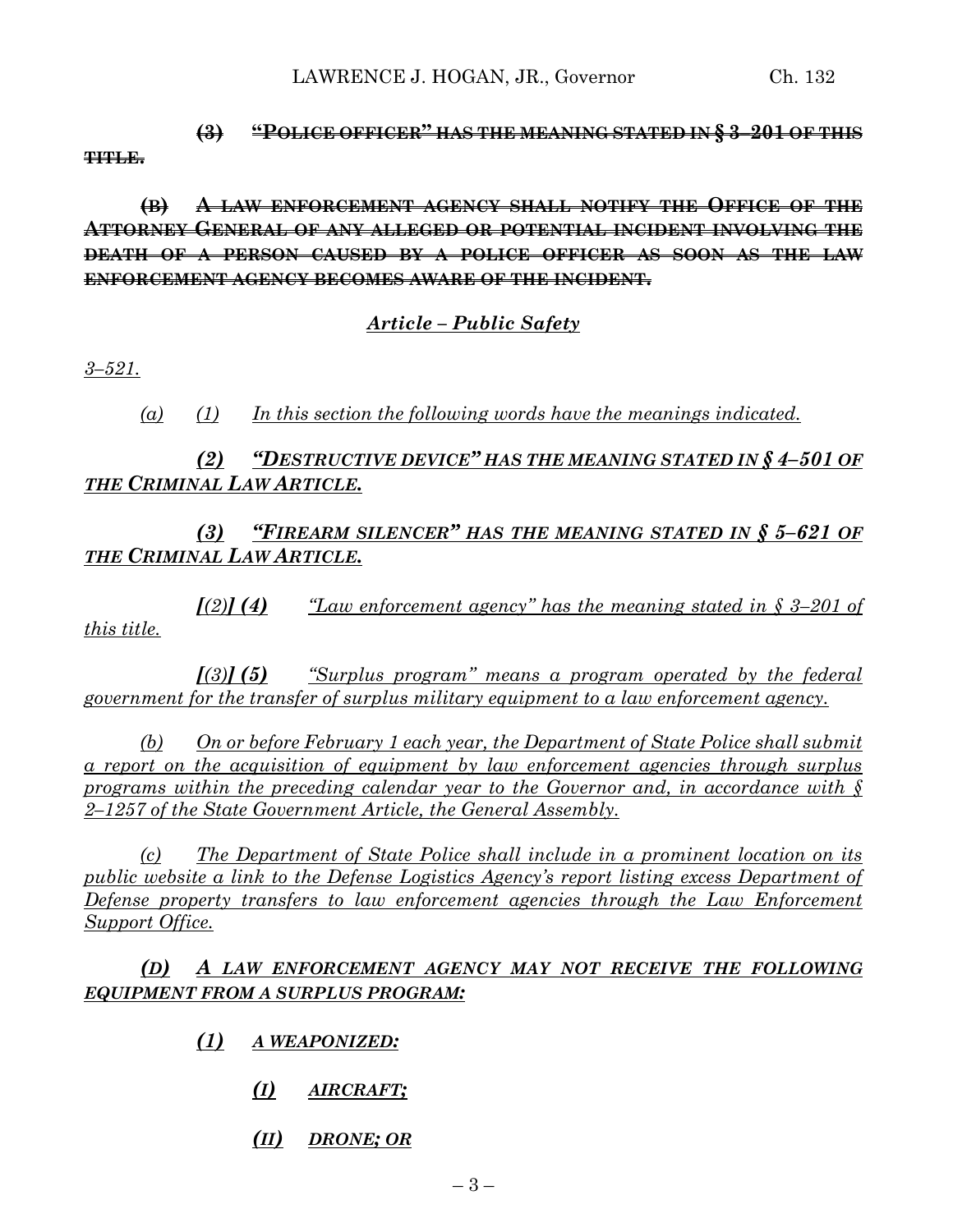## **(3) "POLICE OFFICER" HAS THE MEANING STATED IN § 3–201 OF THIS TITLE.**

**(B) A LAW ENFORCEMENT AGENCY SHALL NOTIFY THE OFFICE OF THE ATTORNEY GENERAL OF ANY ALLEGED OR POTENTIAL INCIDENT INVOLVING THE DEATH OF A PERSON CAUSED BY A POLICE OFFICER AS SOON AS THE LAW ENFORCEMENT AGENCY BECOMES AWARE OF THE INCIDENT.**

# *Article – Public Safety*

*3–521.*

*(a) (1) In this section the following words have the meanings indicated.*

# *(2) "DESTRUCTIVE DEVICE" HAS THE MEANING STATED IN § 4–501 OF THE CRIMINAL LAW ARTICLE.*

*(3) "FIREARM SILENCER" HAS THE MEANING STATED IN § 5–621 OF THE CRIMINAL LAW ARTICLE.*

*[(2)] (4) "Law enforcement agency" has the meaning stated in § 3–201 of this title.*

*[(3)] (5) "Surplus program" means a program operated by the federal government for the transfer of surplus military equipment to a law enforcement agency.*

*(b) On or before February 1 each year, the Department of State Police shall submit a report on the acquisition of equipment by law enforcement agencies through surplus programs within the preceding calendar year to the Governor and, in accordance with § 2–1257 of the State Government Article, the General Assembly.*

*(c) The Department of State Police shall include in a prominent location on its public website a link to the Defense Logistics Agency's report listing excess Department of Defense property transfers to law enforcement agencies through the Law Enforcement Support Office.*

# *(D) A LAW ENFORCEMENT AGENCY MAY NOT RECEIVE THE FOLLOWING EQUIPMENT FROM A SURPLUS PROGRAM:*

- *(1) A WEAPONIZED:*
	- *(I) AIRCRAFT;*
	- *(II) DRONE; OR*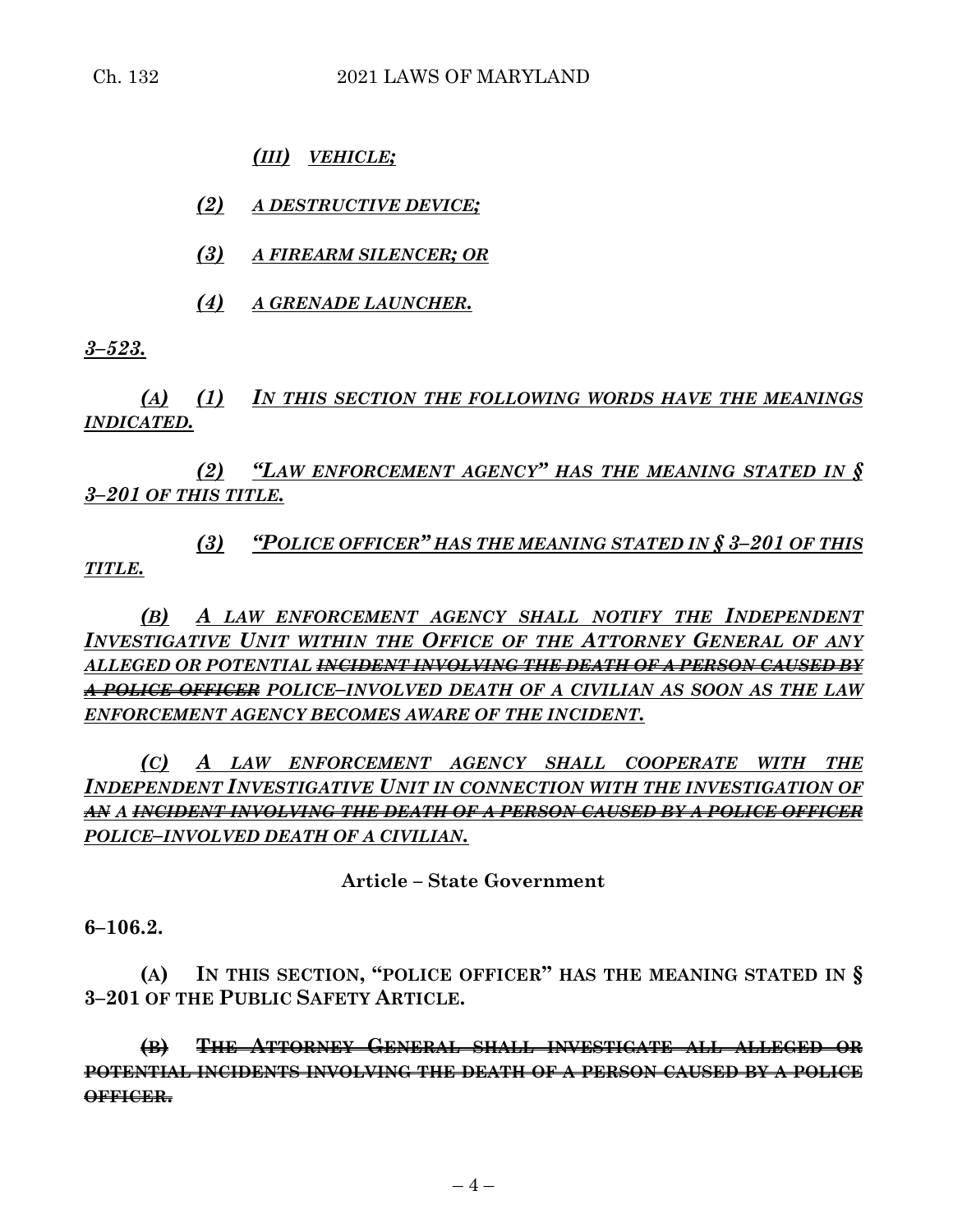*(III) VEHICLE;*

*(2) A DESTRUCTIVE DEVICE;*

*(3) A FIREARM SILENCER; OR*

*(4) A GRENADE LAUNCHER.*

*3–523.*

*(A) (1) IN THIS SECTION THE FOLLOWING WORDS HAVE THE MEANINGS INDICATED.*

*(2) "LAW ENFORCEMENT AGENCY" HAS THE MEANING STATED IN § 3–201 OF THIS TITLE.*

*(3) "POLICE OFFICER" HAS THE MEANING STATED IN § 3–201 OF THIS TITLE.*

*(B) A LAW ENFORCEMENT AGENCY SHALL NOTIFY THE INDEPENDENT INVESTIGATIVE UNIT WITHIN THE OFFICE OF THE ATTORNEY GENERAL OF ANY ALLEGED OR POTENTIAL INCIDENT INVOLVING THE DEATH OF A PERSON CAUSED BY A POLICE OFFICER POLICE–INVOLVED DEATH OF A CIVILIAN AS SOON AS THE LAW ENFORCEMENT AGENCY BECOMES AWARE OF THE INCIDENT.*

*(C) A LAW ENFORCEMENT AGENCY SHALL COOPERATE WITH THE INDEPENDENT INVESTIGATIVE UNIT IN CONNECTION WITH THE INVESTIGATION OF AN A INCIDENT INVOLVING THE DEATH OF A PERSON CAUSED BY A POLICE OFFICER POLICE–INVOLVED DEATH OF A CIVILIAN.*

**Article – State Government**

**6–106.2.**

**(A) IN THIS SECTION, "POLICE OFFICER" HAS THE MEANING STATED IN § 3–201 OF THE PUBLIC SAFETY ARTICLE.**

**(B) THE ATTORNEY GENERAL SHALL INVESTIGATE ALL ALLEGED OR POTENTIAL INCIDENTS INVOLVING THE DEATH OF A PERSON CAUSED BY A POLICE OFFICER.**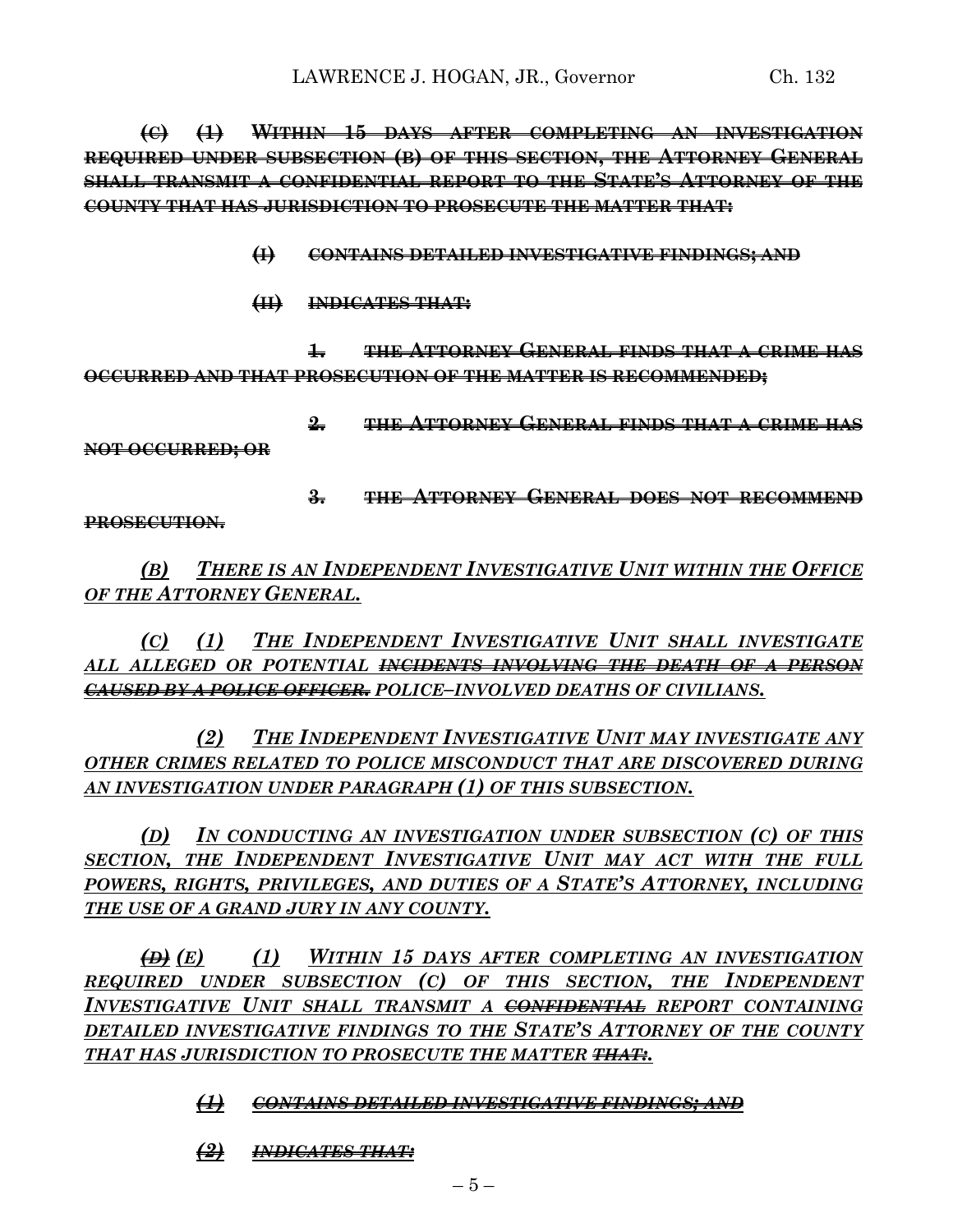**(C) (1) WITHIN 15 DAYS AFTER COMPLETING AN INVESTIGATION REQUIRED UNDER SUBSECTION (B) OF THIS SECTION, THE ATTORNEY GENERAL SHALL TRANSMIT A CONFIDENTIAL REPORT TO THE STATE'S ATTORNEY OF THE COUNTY THAT HAS JURISDICTION TO PROSECUTE THE MATTER THAT:**

- **(I) CONTAINS DETAILED INVESTIGATIVE FINDINGS; AND**
- **(II) INDICATES THAT:**

**1. THE ATTORNEY GENERAL FINDS THAT A CRIME HAS OCCURRED AND THAT PROSECUTION OF THE MATTER IS RECOMMENDED;**

**2. THE ATTORNEY GENERAL FINDS THAT A CRIME HAS** 

**NOT OCCURRED; OR** 

**3. THE ATTORNEY GENERAL DOES NOT RECOMMEND** 

**PROSECUTION.**

*(B) THERE IS AN INDEPENDENT INVESTIGATIVE UNIT WITHIN THE OFFICE OF THE ATTORNEY GENERAL.*

*(C) (1) THE INDEPENDENT INVESTIGATIVE UNIT SHALL INVESTIGATE ALL ALLEGED OR POTENTIAL INCIDENTS INVOLVING THE DEATH OF A PERSON CAUSED BY A POLICE OFFICER. POLICE–INVOLVED DEATHS OF CIVILIANS.*

*(2) THE INDEPENDENT INVESTIGATIVE UNIT MAY INVESTIGATE ANY OTHER CRIMES RELATED TO POLICE MISCONDUCT THAT ARE DISCOVERED DURING AN INVESTIGATION UNDER PARAGRAPH (1) OF THIS SUBSECTION.*

*(D) IN CONDUCTING AN INVESTIGATION UNDER SUBSECTION (C) OF THIS SECTION, THE INDEPENDENT INVESTIGATIVE UNIT MAY ACT WITH THE FULL POWERS, RIGHTS, PRIVILEGES, AND DUTIES OF A STATE'S ATTORNEY, INCLUDING THE USE OF A GRAND JURY IN ANY COUNTY.*

*(D) (E) (1) WITHIN 15 DAYS AFTER COMPLETING AN INVESTIGATION REQUIRED UNDER SUBSECTION (C) OF THIS SECTION, THE INDEPENDENT INVESTIGATIVE UNIT SHALL TRANSMIT A CONFIDENTIAL REPORT CONTAINING DETAILED INVESTIGATIVE FINDINGS TO THE STATE'S ATTORNEY OF THE COUNTY THAT HAS JURISDICTION TO PROSECUTE THE MATTER THAT:.*

*(1) CONTAINS DETAILED INVESTIGATIVE FINDINGS; AND*

*(2) INDICATES THAT:*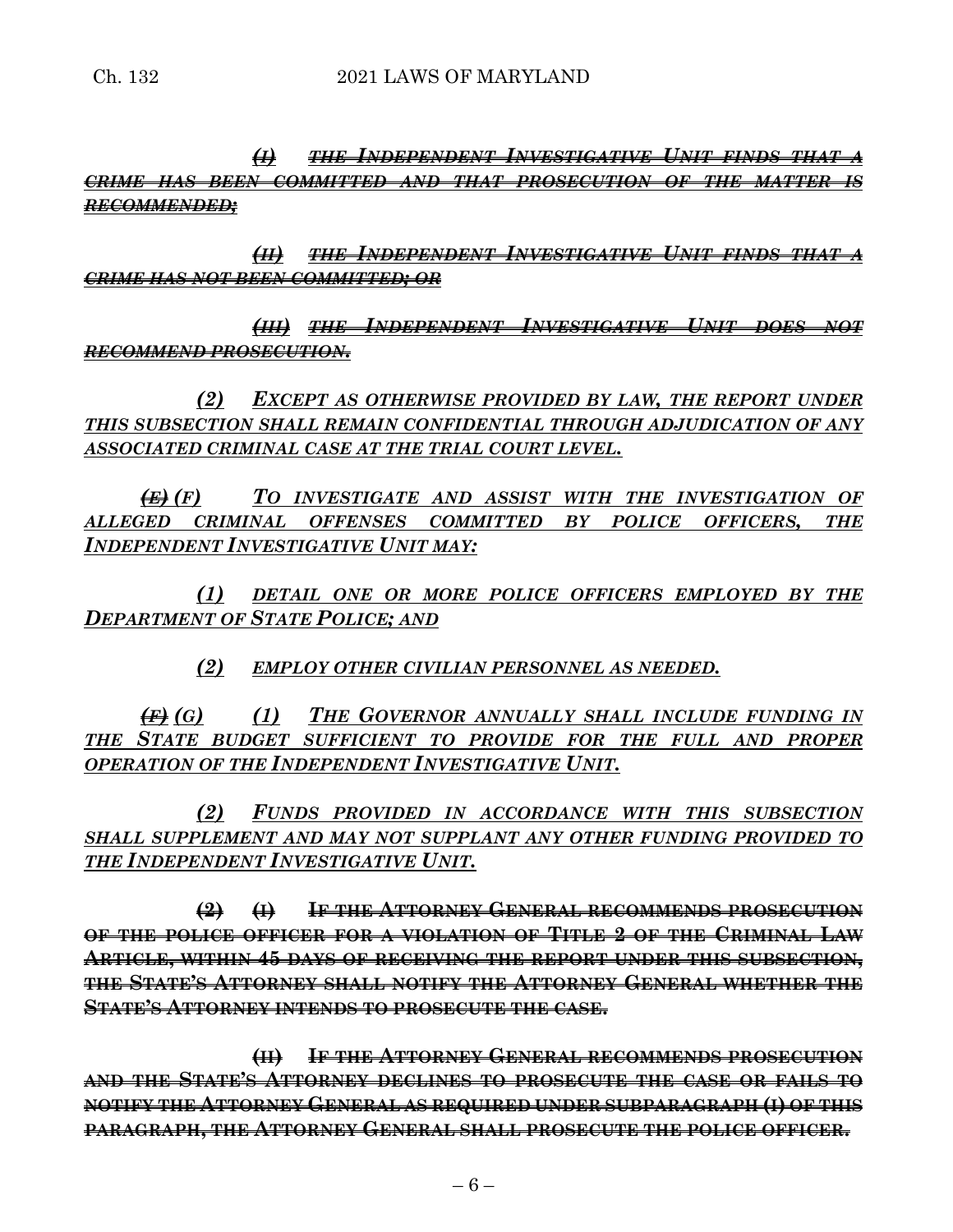*(I) THE INDEPENDENT INVESTIGATIVE UNIT FINDS THAT A CRIME HAS BEEN COMMITTED AND THAT PROSECUTION OF THE MATTER IS RECOMMENDED;*

*(II) THE INDEPENDENT INVESTIGATIVE UNIT FINDS THAT A CRIME HAS NOT BEEN COMMITTED; OR*

*(III) THE INDEPENDENT INVESTIGATIVE UNIT DOES NOT RECOMMEND PROSECUTION.*

*(2) EXCEPT AS OTHERWISE PROVIDED BY LAW, THE REPORT UNDER THIS SUBSECTION SHALL REMAIN CONFIDENTIAL THROUGH ADJUDICATION OF ANY ASSOCIATED CRIMINAL CASE AT THE TRIAL COURT LEVEL.*

*(E) (F) TO INVESTIGATE AND ASSIST WITH THE INVESTIGATION OF ALLEGED CRIMINAL OFFENSES COMMITTED BY POLICE OFFICERS, THE INDEPENDENT INVESTIGATIVE UNIT MAY:*

*(1) DETAIL ONE OR MORE POLICE OFFICERS EMPLOYED BY THE DEPARTMENT OF STATE POLICE; AND*

*(2) EMPLOY OTHER CIVILIAN PERSONNEL AS NEEDED.*

*(F) (G) (1) THE GOVERNOR ANNUALLY SHALL INCLUDE FUNDING IN THE STATE BUDGET SUFFICIENT TO PROVIDE FOR THE FULL AND PROPER OPERATION OF THE INDEPENDENT INVESTIGATIVE UNIT.*

*(2) FUNDS PROVIDED IN ACCORDANCE WITH THIS SUBSECTION SHALL SUPPLEMENT AND MAY NOT SUPPLANT ANY OTHER FUNDING PROVIDED TO THE INDEPENDENT INVESTIGATIVE UNIT.*

**(2) (I) IF THE ATTORNEY GENERAL RECOMMENDS PROSECUTION OF THE POLICE OFFICER FOR A VIOLATION OF TITLE 2 OF THE CRIMINAL LAW ARTICLE, WITHIN 45 DAYS OF RECEIVING THE REPORT UNDER THIS SUBSECTION, THE STATE'S ATTORNEY SHALL NOTIFY THE ATTORNEY GENERAL WHETHER THE STATE'S ATTORNEY INTENDS TO PROSECUTE THE CASE.**

**(II) IF THE ATTORNEY GENERAL RECOMMENDS PROSECUTION AND THE STATE'S ATTORNEY DECLINES TO PROSECUTE THE CASE OR FAILS TO NOTIFY THE ATTORNEY GENERAL AS REQUIRED UNDER SUBPARAGRAPH (I) OF THIS PARAGRAPH, THE ATTORNEY GENERAL SHALL PROSECUTE THE POLICE OFFICER.**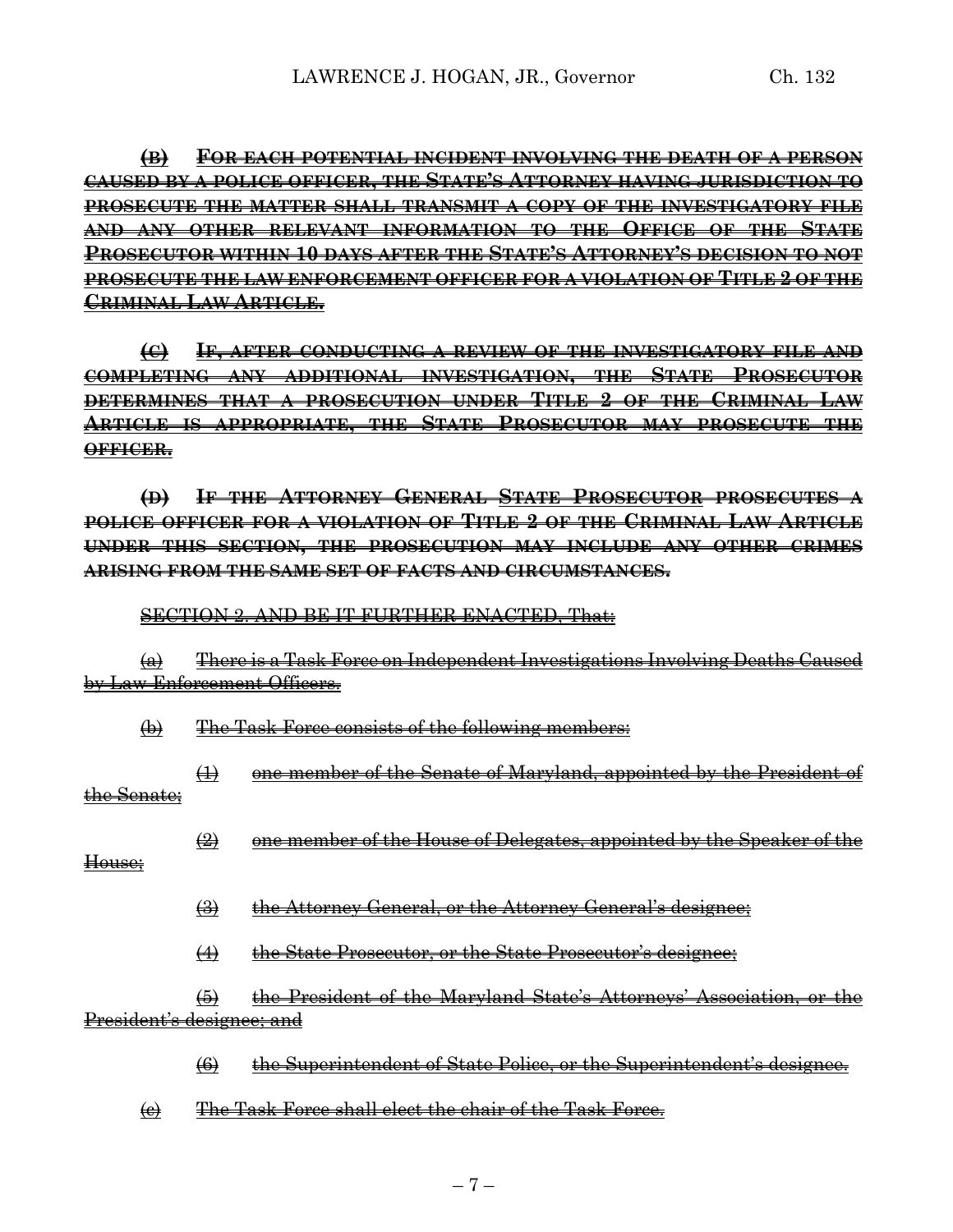**(B) FOR EACH POTENTIAL INCIDENT INVOLVING THE DEATH OF A PERSON CAUSED BY A POLICE OFFICER, THE STATE'S ATTORNEY HAVING JURISDICTION TO PROSECUTE THE MATTER SHALL TRANSMIT A COPY OF THE INVESTIGATORY FILE AND ANY OTHER RELEVANT INFORMATION TO THE OFFICE OF THE STATE PROSECUTOR WITHIN 10 DAYS AFTER THE STATE'S ATTORNEY'S DECISION TO NOT PROSECUTE THE LAW ENFORCEMENT OFFICER FOR A VIOLATION OF TITLE 2 OF THE CRIMINAL LAW ARTICLE.**

**(C) IF, AFTER CONDUCTING A REVIEW OF THE INVESTIGATORY FILE AND COMPLETING ANY ADDITIONAL INVESTIGATION, THE STATE PROSECUTOR DETERMINES THAT A PROSECUTION UNDER TITLE 2 OF THE CRIMINAL LAW ARTICLE IS APPROPRIATE, THE STATE PROSECUTOR MAY PROSECUTE THE OFFICER.**

**(D) IF THE ATTORNEY GENERAL STATE PROSECUTOR PROSECUTES A POLICE OFFICER FOR A VIOLATION OF TITLE 2 OF THE CRIMINAL LAW ARTICLE UNDER THIS SECTION, THE PROSECUTION MAY INCLUDE ANY OTHER CRIMES ARISING FROM THE SAME SET OF FACTS AND CIRCUMSTANCES.**

SECTION 2. AND BE IT FURTHER ENACTED, That:

(a) There is a Task Force on Independent Investigations Involving Deaths Caused by Law Enforcement Officers.

(b) The Task Force consists of the following members:

(1) one member of the Senate of Maryland, appointed by the President of the Senate;

 $\left( 2\right)$  one member of the House of Delegates, appointed by the Speaker of the

House;

(3) the Attorney General, or the Attorney General's designee;

(4) the State Prosecutor, or the State Prosecutor's designee;

(5) the President of the Maryland State's Attorneys' Association, or the President's designee; and

(6) the Superintendent of State Police, or the Superintendent's designee.

(c) The Task Force shall elect the chair of the Task Force.